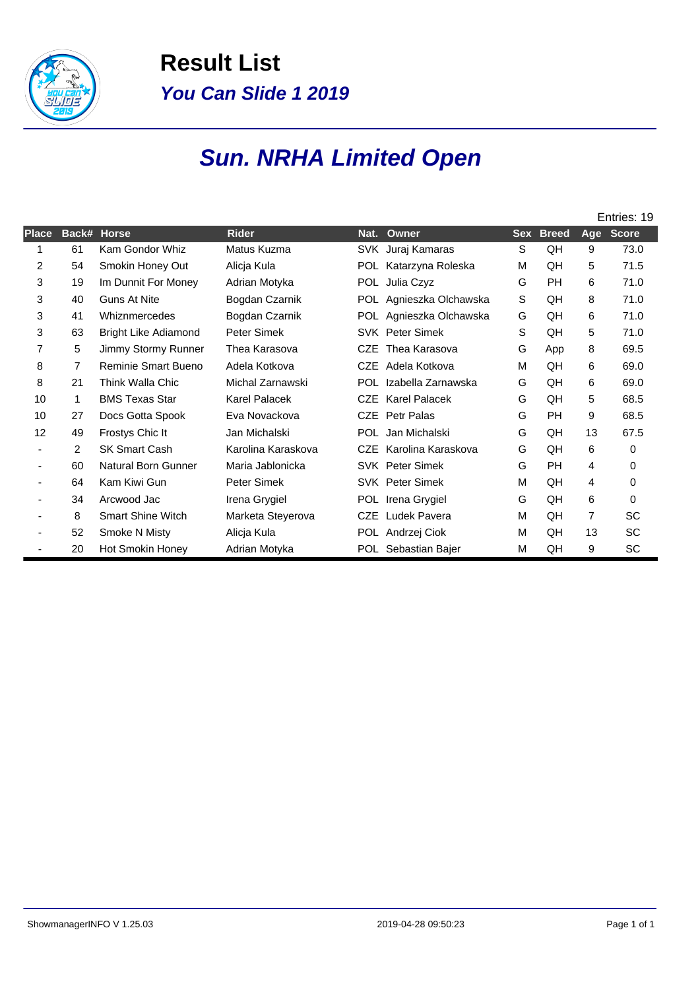

**Result List You Can Slide 1 2019**

## **Sun. NRHA Limited Open**

|       |                |                             |                      |            |                         |            |              |     | Entries: 19  |
|-------|----------------|-----------------------------|----------------------|------------|-------------------------|------------|--------------|-----|--------------|
| Place | Back#          | <b>Horse</b>                | <b>Rider</b>         | Nat.       | Owner                   | <b>Sex</b> | <b>Breed</b> | Age | <b>Score</b> |
|       | 61             | Kam Gondor Whiz             | Matus Kuzma          |            | SVK Juraj Kamaras       | S          | QH           | 9   | 73.0         |
| 2     | 54             | Smokin Honey Out            | Alicja Kula          |            | POL Katarzyna Roleska   | М          | QH           | 5   | 71.5         |
| 3     | 19             | Im Dunnit For Money         | Adrian Motyka        |            | POL Julia Czyz          | G          | PH           | 6   | 71.0         |
| 3     | 40             | <b>Guns At Nite</b>         | Bogdan Czarnik       |            | POL Agnieszka Olchawska | S          | QH           | 8   | 71.0         |
| 3     | 41             | Whiznmercedes               | Bogdan Czarnik       | POL.       | Agnieszka Olchawska     | G          | QH           | 6   | 71.0         |
| 3     | 63             | <b>Bright Like Adiamond</b> | Peter Simek          |            | <b>SVK</b> Peter Simek  | S          | QH           | 5   | 71.0         |
| 7     | 5              | Jimmy Stormy Runner         | Thea Karasova        | <b>CZE</b> | Thea Karasova           | G          | App          | 8   | 69.5         |
| 8     | 7              | Reminie Smart Bueno         | Adela Kotkova        |            | CZE Adela Kotkova       | М          | QH           | 6   | 69.0         |
| 8     | 21             | Think Walla Chic            | Michal Zarnawski     | POL.       | Izabella Zarnawska      | G          | QH           | 6   | 69.0         |
| 10    | 1              | <b>BMS Texas Star</b>       | <b>Karel Palacek</b> | <b>CZE</b> | <b>Karel Palacek</b>    | G          | QH           | 5   | 68.5         |
| 10    | 27             | Docs Gotta Spook            | Eva Novackova        | CZE        | Petr Palas              | G          | <b>PH</b>    | 9   | 68.5         |
| 12    | 49             | Frostys Chic It             | Jan Michalski        |            | POL Jan Michalski       | G          | QH           | 13  | 67.5         |
|       | $\overline{2}$ | <b>SK Smart Cash</b>        | Karolina Karaskova   |            | CZE Karolina Karaskova  | G          | QH           | 6   | 0            |
|       | 60             | <b>Natural Born Gunner</b>  | Maria Jablonicka     |            | <b>SVK</b> Peter Simek  | G          | PH           | 4   | 0            |
|       | 64             | Kam Kiwi Gun                | Peter Simek          |            | <b>SVK</b> Peter Simek  | М          | QH           | 4   | 0            |
|       | 34             | Arcwood Jac                 | Irena Grygiel        |            | POL Irena Grygiel       | G          | QH           | 6   | $\Omega$     |
|       | 8              | <b>Smart Shine Witch</b>    | Marketa Steyerova    | <b>CZE</b> | Ludek Pavera            | M          | QH           | 7   | SC           |
|       | 52             | Smoke N Misty               | Alicja Kula          |            | POL Andrzej Ciok        | M          | QH           | 13  | SC           |
|       | 20             | Hot Smokin Honey            | Adrian Motyka        |            | POL Sebastian Bajer     | M          | QH           | 9   | SC           |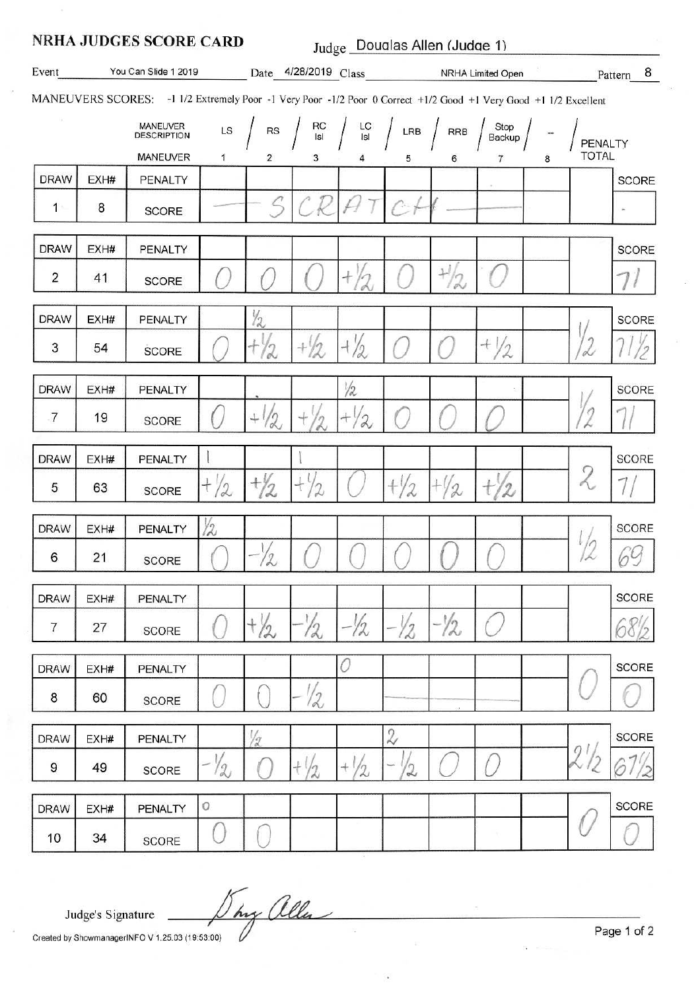|                                                                                                                  |      | <b>NRHA JUDGES SCORE CARD</b> |                | Judge Douglas Allen (Judge 1) |                      |                                                        |                |                 |                                                               |   |                         |              |
|------------------------------------------------------------------------------------------------------------------|------|-------------------------------|----------------|-------------------------------|----------------------|--------------------------------------------------------|----------------|-----------------|---------------------------------------------------------------|---|-------------------------|--------------|
|                                                                                                                  |      |                               |                |                               |                      |                                                        |                |                 |                                                               |   | Pattern 8               |              |
| MANEUVERS SCORES: -1 1/2 Extremely Poor -1 Very Poor -1/2 Poor 0 Correct +1/2 Good +1 Very Good +1 1/2 Excellent |      |                               |                |                               |                      |                                                        |                |                 |                                                               |   |                         |              |
|                                                                                                                  |      | MANEUVER<br>DESCRIPTION       | LS             | <b>RS</b>                     | RC<br>Isl            | $\begin{array}{c} \text{LC} \\ \text{Isl} \end{array}$ |                | LRB $/$ RRB $/$ | $\begin{array}{c}\n\text{Stop} \\ \text{Backup}\n\end{array}$ |   | PENALTY<br><b>TOTAL</b> |              |
| <b>DRAW</b>                                                                                                      | EXH# | MANEUVER<br>PENALTY           | 1              | 2                             | 3                    |                                                        | 5              | 6               | 7                                                             | 8 |                         | SCORE        |
| $\sim$                                                                                                           | 8    | <b>SCORE</b>                  |                | $\leq$                        | ₽                    |                                                        | $C +$          |                 |                                                               |   |                         |              |
| <b>DRAW</b>                                                                                                      | EXH# | <b>PENALTY</b>                |                |                               |                      |                                                        |                |                 |                                                               |   |                         | <b>SCORE</b> |
| $\overline{2}$                                                                                                   | 41   | <b>SCORE</b>                  |                |                               |                      | $^{+}$                                                 |                | $^{+1/2}$       |                                                               |   |                         |              |
| <b>DRAW</b>                                                                                                      | EXH# | PENALTY                       |                | 12                            |                      |                                                        |                |                 |                                                               |   |                         | <b>SCORE</b> |
| 3                                                                                                                | 54   | SCORE                         |                |                               | $+1/2$               | $+ / 2$                                                |                |                 | $+1/2$                                                        |   |                         |              |
| <b>DRAW</b>                                                                                                      | EXH# | PENALTY                       |                |                               |                      | 1/2                                                    |                |                 |                                                               |   |                         | <b>SCORE</b> |
| $\overline{7}$                                                                                                   | 19   | <b>SCORE</b>                  |                | $+1$<br>12                    | $\eta$               | $\alpha$                                               |                |                 |                                                               |   |                         |              |
| <b>DRAW</b>                                                                                                      | EXH# | PENALTY                       |                |                               |                      |                                                        |                |                 |                                                               |   |                         | <b>SCORE</b> |
| 5                                                                                                                | 63   | SCORE                         | $+ / 2$        | $\frac{1}{2}$                 | $+$<br>$\frac{2}{2}$ |                                                        | $+\frac{1}{2}$ | 2               |                                                               |   | 2                       |              |
| <b>DRAW</b>                                                                                                      | EXH# | <b>PENALTY</b>                | Ϋ2             |                               |                      |                                                        |                |                 |                                                               |   |                         | SCORE        |
| 6                                                                                                                | 21   | <b>SCORE</b>                  |                | $\frac{1}{2}$                 |                      |                                                        |                |                 |                                                               |   |                         | 69           |
| <b>DRAW</b>                                                                                                      | EXH# | PENALTY                       |                |                               |                      |                                                        |                |                 |                                                               |   |                         | <b>SCORE</b> |
| 7                                                                                                                | 27   | <b>SCORE</b>                  |                | $+\frac{1}{2}$                | 12                   | 12                                                     | 12             | -Y2             |                                                               |   |                         |              |
| <b>DRAW</b>                                                                                                      | EXH# | PENALTY                       |                |                               |                      | 0                                                      |                |                 |                                                               |   |                         | <b>SCORE</b> |
| 8                                                                                                                | 60   | <b>SCORE</b>                  |                |                               | 12                   |                                                        |                |                 |                                                               |   |                         |              |
| <b>DRAW</b>                                                                                                      | EXH# | PENALTY                       |                | 1/2                           |                      |                                                        | $\mathbf{z}$   |                 |                                                               |   |                         | <b>SCORE</b> |
| 9                                                                                                                | 49   | <b>SCORE</b>                  | $-\frac{1}{2}$ |                               | $+\frac{1}{2}$       | $+$<br>2                                               | 2              |                 |                                                               |   |                         |              |
| <b>DRAW</b>                                                                                                      | EXH# | PENALTY                       | 0              |                               |                      |                                                        |                |                 |                                                               |   |                         | <b>SCORE</b> |
| 10                                                                                                               | 34   | SCORE                         |                |                               |                      |                                                        |                |                 | -35                                                           |   |                         |              |

Judge's Signature

They allen Created by ShowmanagerINFO V 1.25.03 (19:53:00)

Page 1 of 2